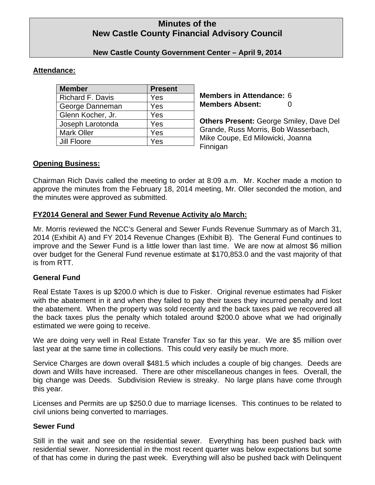# **Minutes of the New Castle County Financial Advisory Council**

# **New Castle County Government Center – April 9, 2014**

# **Attendance:**

| <b>Member</b>           | <b>Present</b> |
|-------------------------|----------------|
| <b>Richard F. Davis</b> | Yes            |
| George Danneman         | Yes            |
| Glenn Kocher, Jr.       | Yes            |
| Joseph Larotonda        | Yes            |
| <b>Mark Oller</b>       | Yes            |
| Jill Floore             | Yes            |

**Members in Attendance:** 6 **Members Absent:** 0

**Others Present:** George Smiley, Dave Del Grande, Russ Morris, Bob Wasserbach, Mike Coupe, Ed Milowicki, Joanna Finnigan

# **Opening Business:**

Chairman Rich Davis called the meeting to order at 8:09 a.m. Mr. Kocher made a motion to approve the minutes from the February 18, 2014 meeting, Mr. Oller seconded the motion, and the minutes were approved as submitted.

# **FY2014 General and Sewer Fund Revenue Activity a/o March:**

Mr. Morris reviewed the NCC's General and Sewer Funds Revenue Summary as of March 31, 2014 (Exhibit A) and FY 2014 Revenue Changes (Exhibit B). The General Fund continues to improve and the Sewer Fund is a little lower than last time. We are now at almost \$6 million over budget for the General Fund revenue estimate at \$170,853.0 and the vast majority of that is from RTT.

# **General Fund**

Real Estate Taxes is up \$200.0 which is due to Fisker. Original revenue estimates had Fisker with the abatement in it and when they failed to pay their taxes they incurred penalty and lost the abatement. When the property was sold recently and the back taxes paid we recovered all the back taxes plus the penalty which totaled around \$200.0 above what we had originally estimated we were going to receive.

We are doing very well in Real Estate Transfer Tax so far this year. We are \$5 million over last year at the same time in collections. This could very easily be much more.

Service Charges are down overall \$481.5 which includes a couple of big changes. Deeds are down and Wills have increased. There are other miscellaneous changes in fees. Overall, the big change was Deeds. Subdivision Review is streaky. No large plans have come through this year.

Licenses and Permits are up \$250.0 due to marriage licenses. This continues to be related to civil unions being converted to marriages.

# **Sewer Fund**

Still in the wait and see on the residential sewer. Everything has been pushed back with residential sewer. Nonresidential in the most recent quarter was below expectations but some of that has come in during the past week. Everything will also be pushed back with Delinquent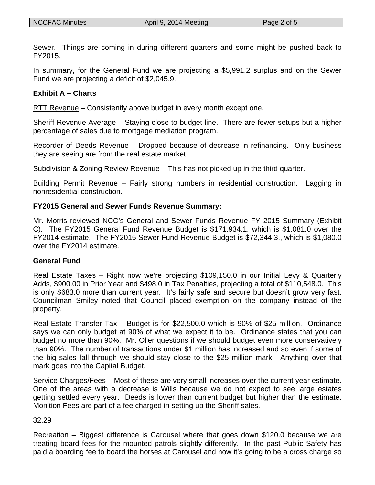Sewer. Things are coming in during different quarters and some might be pushed back to FY2015.

In summary, for the General Fund we are projecting a \$5,991.2 surplus and on the Sewer Fund we are projecting a deficit of \$2,045.9.

### **Exhibit A – Charts**

RTT Revenue – Consistently above budget in every month except one.

Sheriff Revenue Average – Staying close to budget line. There are fewer setups but a higher percentage of sales due to mortgage mediation program.

Recorder of Deeds Revenue – Dropped because of decrease in refinancing. Only business they are seeing are from the real estate market.

Subdivision & Zoning Review Revenue – This has not picked up in the third quarter.

Building Permit Revenue – Fairly strong numbers in residential construction. Lagging in nonresidential construction.

### **FY2015 General and Sewer Funds Revenue Summary:**

Mr. Morris reviewed NCC's General and Sewer Funds Revenue FY 2015 Summary (Exhibit C). The FY2015 General Fund Revenue Budget is \$171,934.1, which is \$1,081.0 over the FY2014 estimate. The FY2015 Sewer Fund Revenue Budget is \$72,344.3., which is \$1,080.0 over the FY2014 estimate.

#### **General Fund**

Real Estate Taxes – Right now we're projecting \$109,150.0 in our Initial Levy & Quarterly Adds, \$900.00 in Prior Year and \$498.0 in Tax Penalties, projecting a total of \$110,548.0. This is only \$683.0 more than current year. It's fairly safe and secure but doesn't grow very fast. Councilman Smiley noted that Council placed exemption on the company instead of the property.

Real Estate Transfer Tax – Budget is for \$22,500.0 which is 90% of \$25 million. Ordinance says we can only budget at 90% of what we expect it to be. Ordinance states that you can budget no more than 90%. Mr. Oller questions if we should budget even more conservatively than 90%. The number of transactions under \$1 million has increased and so even if some of the big sales fall through we should stay close to the \$25 million mark. Anything over that mark goes into the Capital Budget.

Service Charges/Fees – Most of these are very small increases over the current year estimate. One of the areas with a decrease is Wills because we do not expect to see large estates getting settled every year. Deeds is lower than current budget but higher than the estimate. Monition Fees are part of a fee charged in setting up the Sheriff sales.

#### 32.29

Recreation – Biggest difference is Carousel where that goes down \$120.0 because we are treating board fees for the mounted patrols slightly differently. In the past Public Safety has paid a boarding fee to board the horses at Carousel and now it's going to be a cross charge so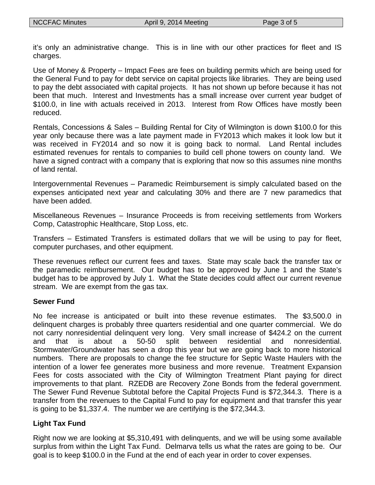it's only an administrative change. This is in line with our other practices for fleet and IS charges.

Use of Money & Property – Impact Fees are fees on building permits which are being used for the General Fund to pay for debt service on capital projects like libraries. They are being used to pay the debt associated with capital projects. It has not shown up before because it has not been that much. Interest and Investments has a small increase over current year budget of \$100.0, in line with actuals received in 2013. Interest from Row Offices have mostly been reduced.

Rentals, Concessions & Sales – Building Rental for City of Wilmington is down \$100.0 for this year only because there was a late payment made in FY2013 which makes it look low but it was received in FY2014 and so now it is going back to normal. Land Rental includes estimated revenues for rentals to companies to build cell phone towers on county land. We have a signed contract with a company that is exploring that now so this assumes nine months of land rental.

Intergovernmental Revenues – Paramedic Reimbursement is simply calculated based on the expenses anticipated next year and calculating 30% and there are 7 new paramedics that have been added.

Miscellaneous Revenues – Insurance Proceeds is from receiving settlements from Workers Comp, Catastrophic Healthcare, Stop Loss, etc.

Transfers – Estimated Transfers is estimated dollars that we will be using to pay for fleet, computer purchases, and other equipment.

These revenues reflect our current fees and taxes. State may scale back the transfer tax or the paramedic reimbursement. Our budget has to be approved by June 1 and the State's budget has to be approved by July 1. What the State decides could affect our current revenue stream. We are exempt from the gas tax.

# **Sewer Fund**

No fee increase is anticipated or built into these revenue estimates. The \$3,500.0 in delinquent charges is probably three quarters residential and one quarter commercial. We do not carry nonresidential delinquent very long. Very small increase of \$424.2 on the current and that is about a 50-50 split between residential and nonresidential. Stormwater/Groundwater has seen a drop this year but we are going back to more historical numbers. There are proposals to change the fee structure for Septic Waste Haulers with the intention of a lower fee generates more business and more revenue. Treatment Expansion Fees for costs associated with the City of Wilmington Treatment Plant paying for direct improvements to that plant. RZEDB are Recovery Zone Bonds from the federal government. The Sewer Fund Revenue Subtotal before the Capital Projects Fund is \$72,344.3. There is a transfer from the revenues to the Capital Fund to pay for equipment and that transfer this year is going to be \$1,337.4. The number we are certifying is the \$72,344.3.

# **Light Tax Fund**

Right now we are looking at \$5,310,491 with delinquents, and we will be using some available surplus from within the Light Tax Fund. Delmarva tells us what the rates are going to be. Our goal is to keep \$100.0 in the Fund at the end of each year in order to cover expenses.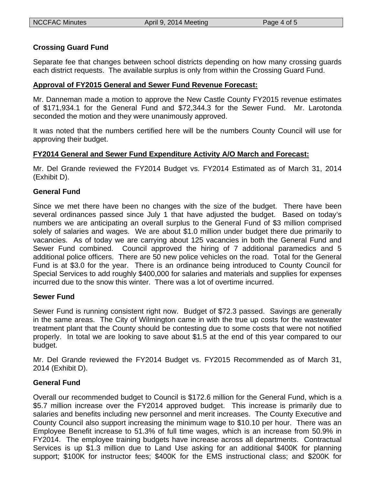### **Crossing Guard Fund**

Separate fee that changes between school districts depending on how many crossing guards each district requests. The available surplus is only from within the Crossing Guard Fund.

#### **Approval of FY2015 General and Sewer Fund Revenue Forecast:**

Mr. Danneman made a motion to approve the New Castle County FY2015 revenue estimates of \$171,934.1 for the General Fund and \$72,344.3 for the Sewer Fund. Mr. Larotonda seconded the motion and they were unanimously approved.

It was noted that the numbers certified here will be the numbers County Council will use for approving their budget.

#### **FY2014 General and Sewer Fund Expenditure Activity A/O March and Forecast:**

Mr. Del Grande reviewed the FY2014 Budget vs. FY2014 Estimated as of March 31, 2014 (Exhibit D).

#### **General Fund**

Since we met there have been no changes with the size of the budget. There have been several ordinances passed since July 1 that have adjusted the budget. Based on today's numbers we are anticipating an overall surplus to the General Fund of \$3 million comprised solely of salaries and wages. We are about \$1.0 million under budget there due primarily to vacancies. As of today we are carrying about 125 vacancies in both the General Fund and Sewer Fund combined. Council approved the hiring of 7 additional paramedics and 5 additional police officers. There are 50 new police vehicles on the road. Total for the General Fund is at \$3.0 for the year. There is an ordinance being introduced to County Council for Special Services to add roughly \$400,000 for salaries and materials and supplies for expenses incurred due to the snow this winter. There was a lot of overtime incurred.

#### **Sewer Fund**

Sewer Fund is running consistent right now. Budget of \$72.3 passed. Savings are generally in the same areas. The City of Wilmington came in with the true up costs for the wastewater treatment plant that the County should be contesting due to some costs that were not notified properly. In total we are looking to save about \$1.5 at the end of this year compared to our budget.

Mr. Del Grande reviewed the FY2014 Budget vs. FY2015 Recommended as of March 31, 2014 (Exhibit D).

# **General Fund**

Overall our recommended budget to Council is \$172.6 million for the General Fund, which is a \$5.7 million increase over the FY2014 approved budget. This increase is primarily due to salaries and benefits including new personnel and merit increases. The County Executive and County Council also support increasing the minimum wage to \$10.10 per hour. There was an Employee Benefit increase to 51.3% of full time wages, which is an increase from 50.9% in FY2014. The employee training budgets have increase across all departments. Contractual Services is up \$1.3 million due to Land Use asking for an additional \$400K for planning support; \$100K for instructor fees; \$400K for the EMS instructional class; and \$200K for